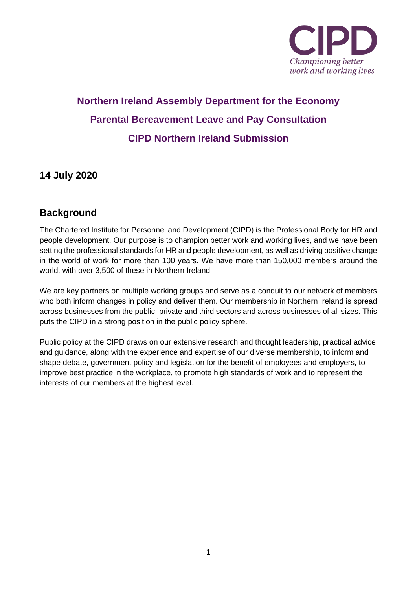

# **Northern Ireland Assembly Department for the Economy Parental Bereavement Leave and Pay Consultation CIPD Northern Ireland Submission**

# **14 July 2020**

# **Background**

The Chartered Institute for Personnel and Development (CIPD) is the Professional Body for HR and people development. Our purpose is to champion better work and working lives, and we have been setting the professional standards for HR and people development, as well as driving positive change in the world of work for more than 100 years. We have more than 150,000 members around the world, with over 3,500 of these in Northern Ireland.

We are key partners on multiple working groups and serve as a conduit to our network of members who both inform changes in policy and deliver them. Our membership in Northern Ireland is spread across businesses from the public, private and third sectors and across businesses of all sizes. This puts the CIPD in a strong position in the public policy sphere.

Public policy at the CIPD draws on our extensive research and thought leadership, practical advice and guidance, along with the experience and expertise of our diverse membership, to inform and shape debate, government policy and legislation for the benefit of employees and employers, to improve best practice in the workplace, to promote high standards of work and to represent the interests of our members at the highest level.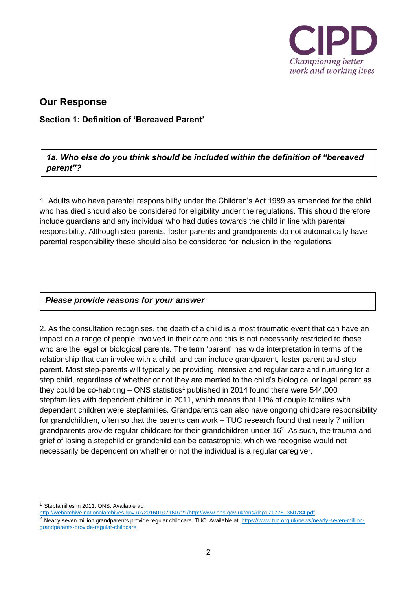

# **Our Response**

**Section 1: Definition of 'Bereaved Parent'**

*1a. Who else do you think should be included within the definition of "bereaved parent"?*

1. Adults who have parental responsibility under the Children's Act 1989 as amended for the child who has died should also be considered for eligibility under the regulations. This should therefore include guardians and any individual who had duties towards the child in line with parental responsibility. Although step-parents, foster parents and grandparents do not automatically have parental responsibility these should also be considered for inclusion in the regulations.

# *Please provide reasons for your answer*

2. As the consultation recognises, the death of a child is a most traumatic event that can have an impact on a range of people involved in their care and this is not necessarily restricted to those who are the legal or biological parents. The term 'parent' has wide interpretation in terms of the relationship that can involve with a child, and can include grandparent, foster parent and step parent. Most step-parents will typically be providing intensive and regular care and nurturing for a step child, regardless of whether or not they are married to the child's biological or legal parent as they could be co-habiting – ONS statistics<sup>1</sup> published in 2014 found there were 544,000 stepfamilies with dependent children in 2011, which means that 11% of couple families with dependent children were stepfamilies. Grandparents can also have ongoing childcare responsibility for grandchildren, often so that the parents can work – TUC research found that nearly 7 million grandparents provide regular childcare for their grandchildren under  $16<sup>2</sup>$ . As such, the trauma and grief of losing a stepchild or grandchild can be catastrophic, which we recognise would not necessarily be dependent on whether or not the individual is a regular caregiver.

<sup>&</sup>lt;sup>1</sup> Stepfamilies in 2011. ONS. Available at:

[http://webarchive.nationalarchives.gov.uk/20160107160721/http://www.ons.gov.uk/ons/dcp171776\\_360784.pdf](http://webarchive.nationalarchives.gov.uk/20160107160721/http:/www.ons.gov.uk/ons/dcp171776_360784.pdf)

<sup>&</sup>lt;sup>2</sup> Nearly seven million grandparents provide regular childcare. TUC. Available at: [https://www.tuc.org.uk/news/nearly-seven-million](https://www.tuc.org.uk/news/nearly-seven-million-grandparents-provide-regular-childcare)[grandparents-provide-regular-childcare](https://www.tuc.org.uk/news/nearly-seven-million-grandparents-provide-regular-childcare)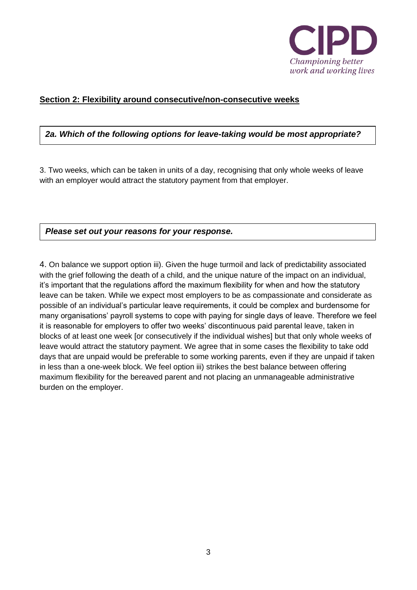

#### **Section 2: Flexibility around consecutive/non-consecutive weeks**

# *2a. Which of the following options for leave-taking would be most appropriate?*

3. Two weeks, which can be taken in units of a day, recognising that only whole weeks of leave with an employer would attract the statutory payment from that employer.

*Please set out your reasons for your response.*

4. On balance we support option iii). Given the huge turmoil and lack of predictability associated with the grief following the death of a child, and the unique nature of the impact on an individual, it's important that the regulations afford the maximum flexibility for when and how the statutory leave can be taken. While we expect most employers to be as compassionate and considerate as possible of an individual's particular leave requirements, it could be complex and burdensome for many organisations' payroll systems to cope with paying for single days of leave. Therefore we feel it is reasonable for employers to offer two weeks' discontinuous paid parental leave, taken in blocks of at least one week [or consecutively if the individual wishes] but that only whole weeks of leave would attract the statutory payment. We agree that in some cases the flexibility to take odd days that are unpaid would be preferable to some working parents, even if they are unpaid if taken in less than a one-week block. We feel option iii) strikes the best balance between offering maximum flexibility for the bereaved parent and not placing an unmanageable administrative burden on the employer.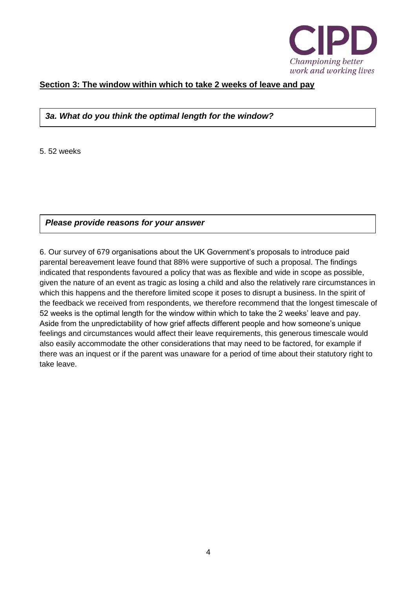

# **Section 3: The window within which to take 2 weeks of leave and pay**

#### *3a. What do you think the optimal length for the window?*

5. 52 weeks

*Please provide reasons for your answer*

6. Our survey of 679 organisations about the UK Government's proposals to introduce paid parental bereavement leave found that 88% were supportive of such a proposal. The findings indicated that respondents favoured a policy that was as flexible and wide in scope as possible, given the nature of an event as tragic as losing a child and also the relatively rare circumstances in which this happens and the therefore limited scope it poses to disrupt a business. In the spirit of the feedback we received from respondents, we therefore recommend that the longest timescale of 52 weeks is the optimal length for the window within which to take the 2 weeks' leave and pay. Aside from the unpredictability of how grief affects different people and how someone's unique feelings and circumstances would affect their leave requirements, this generous timescale would also easily accommodate the other considerations that may need to be factored, for example if there was an inquest or if the parent was unaware for a period of time about their statutory right to take leave.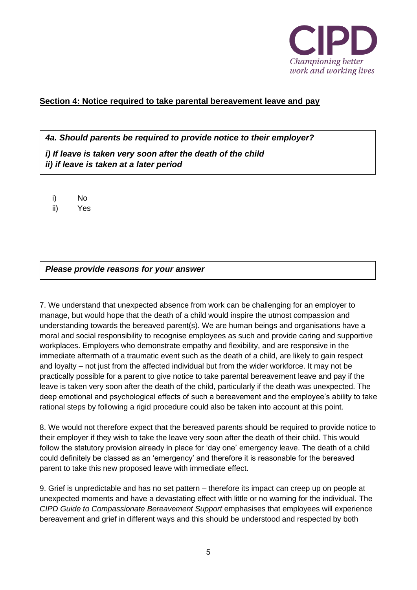

# **Section 4: Notice required to take parental bereavement leave and pay**

*4a. Should parents be required to provide notice to their employer?*

*i) If leave is taken very soon after the death of the child ii) if leave is taken at a later period*

i) No

ii) Yes

#### *Please provide reasons for your answer*

7. We understand that unexpected absence from work can be challenging for an employer to manage, but would hope that the death of a child would inspire the utmost compassion and understanding towards the bereaved parent(s). We are human beings and organisations have a moral and social responsibility to recognise employees as such and provide caring and supportive workplaces. Employers who demonstrate empathy and flexibility, and are responsive in the immediate aftermath of a traumatic event such as the death of a child, are likely to gain respect and loyalty – not just from the affected individual but from the wider workforce. It may not be practically possible for a parent to give notice to take parental bereavement leave and pay if the leave is taken very soon after the death of the child, particularly if the death was unexpected. The deep emotional and psychological effects of such a bereavement and the employee's ability to take rational steps by following a rigid procedure could also be taken into account at this point.

8. We would not therefore expect that the bereaved parents should be required to provide notice to their employer if they wish to take the leave very soon after the death of their child. This would follow the statutory provision already in place for 'day one' emergency leave. The death of a child could definitely be classed as an 'emergency' and therefore it is reasonable for the bereaved parent to take this new proposed leave with immediate effect.

9. Grief is unpredictable and has no set pattern – therefore its impact can creep up on people at unexpected moments and have a devastating effect with little or no warning for the individual. The *CIPD Guide to Compassionate Bereavement Support* emphasises that employees will experience bereavement and grief in different ways and this should be understood and respected by both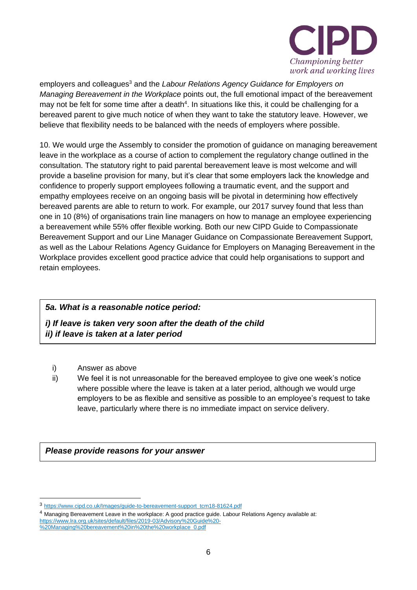

employers and colleagues<sup>3</sup> and the *Labour Relations Agency Guidance for Employers on Managing Bereavement in the Workplace* points out, the full emotional impact of the bereavement may not be felt for some time after a death<sup>4</sup>. In situations like this, it could be challenging for a bereaved parent to give much notice of when they want to take the statutory leave. However, we believe that flexibility needs to be balanced with the needs of employers where possible.

10. We would urge the Assembly to consider the promotion of guidance on managing bereavement leave in the workplace as a course of action to complement the regulatory change outlined in the consultation. The statutory right to paid parental bereavement leave is most welcome and will provide a baseline provision for many, but it's clear that some employers lack the knowledge and confidence to properly support employees following a traumatic event, and the support and empathy employees receive on an ongoing basis will be pivotal in determining how effectively bereaved parents are able to return to work. For example, our 2017 survey found that less than one in 10 (8%) of organisations train line managers on how to manage an employee experiencing a bereavement while 55% offer flexible working. Both our new CIPD Guide to Compassionate Bereavement Support and our Line Manager Guidance on Compassionate Bereavement Support, as well as the Labour Relations Agency Guidance for Employers on Managing Bereavement in the Workplace provides excellent good practice advice that could help organisations to support and retain employees.

# *5a. What is a reasonable notice period:*

*i) If leave is taken very soon after the death of the child ii) if leave is taken at a later period*

- i) Answer as above
- ii) We feel it is not unreasonable for the bereaved employee to give one week's notice where possible where the leave is taken at a later period, although we would urge employers to be as flexible and sensitive as possible to an employee's request to take leave, particularly where there is no immediate impact on service delivery.

*Please provide reasons for your answer*

<sup>3</sup> [https://www.cipd.co.uk/Images/guide-to-bereavement-support\\_tcm18-81624.pdf](https://www.cipd.co.uk/Images/guide-to-bereavement-support_tcm18-81624.pdf)

<sup>4</sup> Managing Bereavement Leave in the workplace: A good practice guide. Labour Relations Agency available at: [https://www.lra.org.uk/sites/default/files/2019-03/Advisory%20Guide%20-](https://www.lra.org.uk/sites/default/files/2019-03/Advisory%20Guide%20-%20Managing%20bereavement%20in%20the%20workplace_0.pdf) [%20Managing%20bereavement%20in%20the%20workplace\\_0.pdf](https://www.lra.org.uk/sites/default/files/2019-03/Advisory%20Guide%20-%20Managing%20bereavement%20in%20the%20workplace_0.pdf)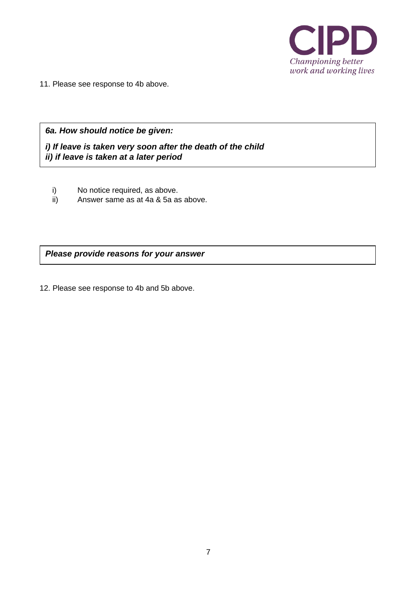

11. Please see response to 4b above.

*6a. How should notice be given:*

*i) If leave is taken very soon after the death of the child ii) if leave is taken at a later period*

- i) No notice required, as above.
- ii) Answer same as at 4a & 5a as above.

*Please provide reasons for your answer*

12. Please see response to 4b and 5b above.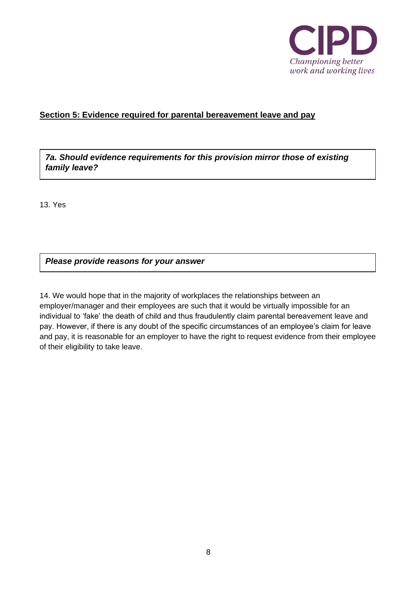

# **Section 5: Evidence required for parental bereavement leave and pay**

*7a. Should evidence requirements for this provision mirror those of existing family leave?*

13. Yes

*Please provide reasons for your answer*

14. We would hope that in the majority of workplaces the relationships between an employer/manager and their employees are such that it would be virtually impossible for an individual to 'fake' the death of child and thus fraudulently claim parental bereavement leave and pay. However, if there is any doubt of the specific circumstances of an employee's claim for leave and pay, it is reasonable for an employer to have the right to request evidence from their employee of their eligibility to take leave.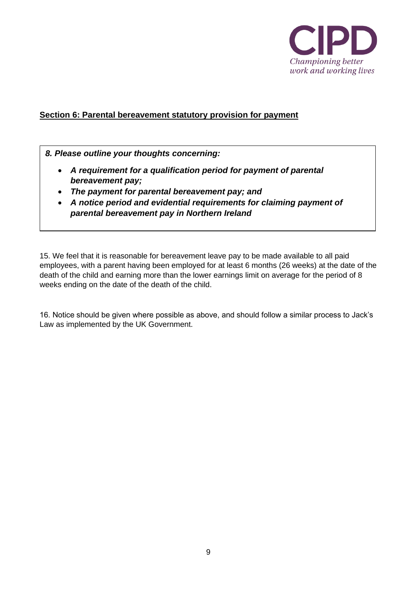

# **Section 6: Parental bereavement statutory provision for payment**

*8. Please outline your thoughts concerning:*

- *A requirement for a qualification period for payment of parental bereavement pay;*
- *The payment for parental bereavement pay; and*
- *A notice period and evidential requirements for claiming payment of parental bereavement pay in Northern Ireland*

15. We feel that it is reasonable for bereavement leave pay to be made available to all paid employees, with a parent having been employed for at least 6 months (26 weeks) at the date of the death of the child and earning more than the lower earnings limit on average for the period of 8 weeks ending on the date of the death of the child.

16. Notice should be given where possible as above, and should follow a similar process to Jack's Law as implemented by the UK Government.